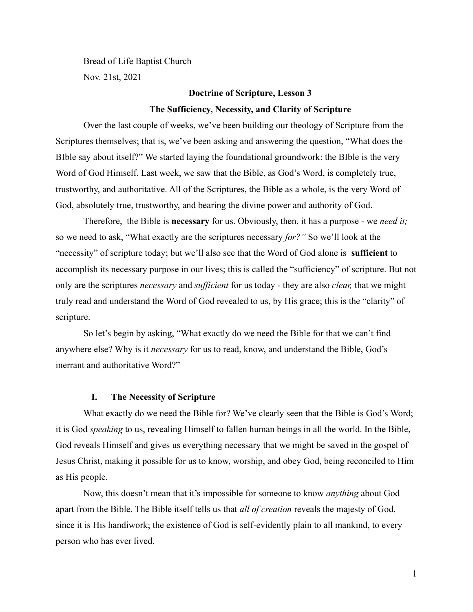Bread of Life Baptist Church Nov. 21st, 2021

# **Doctrine of Scripture, Lesson 3 The Sufficiency, Necessity, and Clarity of Scripture**

Over the last couple of weeks, we've been building our theology of Scripture from the Scriptures themselves; that is, we've been asking and answering the question, "What does the BIble say about itself?" We started laying the foundational groundwork: the BIble is the very Word of God Himself. Last week, we saw that the Bible, as God's Word, is completely true, trustworthy, and authoritative. All of the Scriptures, the Bible as a whole, is the very Word of God, absolutely true, trustworthy, and bearing the divine power and authority of God.

Therefore, the Bible is **necessary** for us. Obviously, then, it has a purpose - we *need it;* so we need to ask, "What exactly are the scriptures necessary *for?"* So we'll look at the "necessity" of scripture today; but we'll also see that the Word of God alone is **sufficient** to accomplish its necessary purpose in our lives; this is called the "sufficiency" of scripture. But not only are the scriptures *necessary* and *sufficient* for us today - they are also *clear,* that we might truly read and understand the Word of God revealed to us, by His grace; this is the "clarity" of scripture.

So let's begin by asking, "What exactly do we need the Bible for that we can't find anywhere else? Why is it *necessary* for us to read, know, and understand the Bible, God's inerrant and authoritative Word?"

#### **I. The Necessity of Scripture**

What exactly do we need the Bible for? We've clearly seen that the Bible is God's Word; it is God *speaking* to us, revealing Himself to fallen human beings in all the world. In the Bible, God reveals Himself and gives us everything necessary that we might be saved in the gospel of Jesus Christ, making it possible for us to know, worship, and obey God, being reconciled to Him as His people.

Now, this doesn't mean that it's impossible for someone to know *anything* about God apart from the Bible. The Bible itself tells us that *all of creation* reveals the majesty of God, since it is His handiwork; the existence of God is self-evidently plain to all mankind, to every person who has ever lived.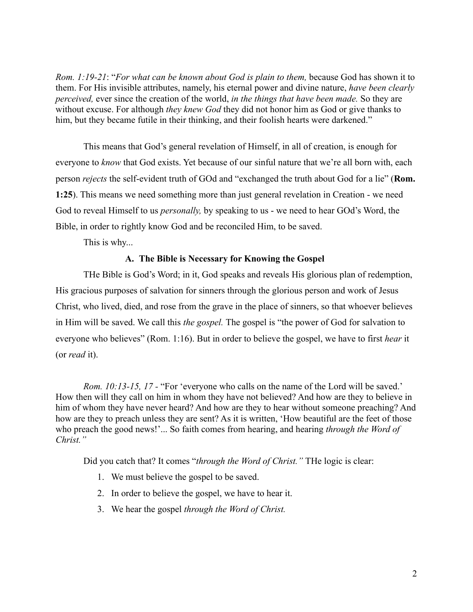*Rom. 1:19-21*: "*For what can be known about God is plain to them,* because God has shown it to them. For His invisible attributes, namely, his eternal power and divine nature, *have been clearly perceived,* ever since the creation of the world, *in the things that have been made.* So they are without excuse. For although *they knew God* they did not honor him as God or give thanks to him, but they became futile in their thinking, and their foolish hearts were darkened."

This means that God's general revelation of Himself, in all of creation, is enough for everyone to *know* that God exists. Yet because of our sinful nature that we're all born with, each person *rejects* the self-evident truth of GOd and "exchanged the truth about God for a lie" (**Rom. 1:25**). This means we need something more than just general revelation in Creation - we need God to reveal Himself to us *personally,* by speaking to us - we need to hear GOd's Word, the Bible, in order to rightly know God and be reconciled Him, to be saved.

This is why...

## **A. The Bible is Necessary for Knowing the Gospel**

THe Bible is God's Word; in it, God speaks and reveals His glorious plan of redemption, His gracious purposes of salvation for sinners through the glorious person and work of Jesus Christ, who lived, died, and rose from the grave in the place of sinners, so that whoever believes in Him will be saved. We call this *the gospel.* The gospel is "the power of God for salvation to everyone who believes" (Rom. 1:16). But in order to believe the gospel, we have to first *hear* it (or *read* it).

*Rom. 10:13-15, 17 -* "For 'everyone who calls on the name of the Lord will be saved.' How then will they call on him in whom they have not believed? And how are they to believe in him of whom they have never heard? And how are they to hear without someone preaching? And how are they to preach unless they are sent? As it is written, 'How beautiful are the feet of those who preach the good news!'... So faith comes from hearing, and hearing *through the Word of Christ."*

Did you catch that? It comes "*through the Word of Christ."* THe logic is clear:

- 1. We must believe the gospel to be saved.
- 2. In order to believe the gospel, we have to hear it.
- 3. We hear the gospel *through the Word of Christ.*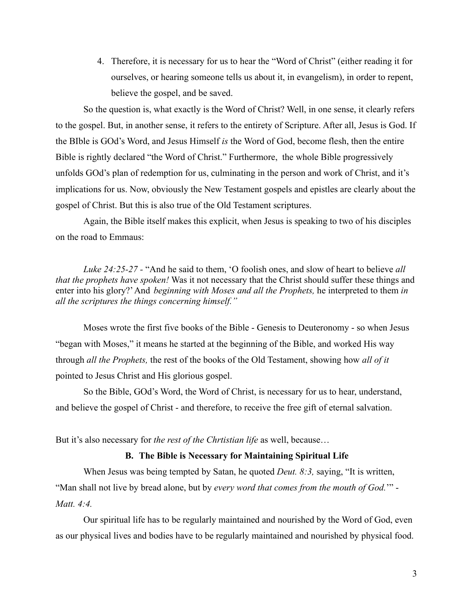4. Therefore, it is necessary for us to hear the "Word of Christ" (either reading it for ourselves, or hearing someone tells us about it, in evangelism), in order to repent, believe the gospel, and be saved.

So the question is, what exactly is the Word of Christ? Well, in one sense, it clearly refers to the gospel. But, in another sense, it refers to the entirety of Scripture. After all, Jesus is God. If the BIble is GOd's Word, and Jesus Himself *is* the Word of God, become flesh, then the entire Bible is rightly declared "the Word of Christ." Furthermore, the whole Bible progressively unfolds GOd's plan of redemption for us, culminating in the person and work of Christ, and it's implications for us. Now, obviously the New Testament gospels and epistles are clearly about the gospel of Christ. But this is also true of the Old Testament scriptures.

Again, the Bible itself makes this explicit, when Jesus is speaking to two of his disciples on the road to Emmaus:

*Luke 24:25-27 -* "And he said to them, 'O foolish ones, and slow of heart to believe *all that the prophets have spoken!* Was it not necessary that the Christ should suffer these things and enter into his glory?'And *beginning with Moses and all the Prophets,* he interpreted to them *in all the scriptures the things concerning himself."*

Moses wrote the first five books of the Bible - Genesis to Deuteronomy - so when Jesus "began with Moses," it means he started at the beginning of the Bible, and worked His way through *all the Prophets,* the rest of the books of the Old Testament, showing how *all of it* pointed to Jesus Christ and His glorious gospel.

So the Bible, GOd's Word, the Word of Christ, is necessary for us to hear, understand, and believe the gospel of Christ - and therefore, to receive the free gift of eternal salvation.

But it's also necessary for *the rest of the Chrtistian life* as well, because…

# **B. The Bible is Necessary for Maintaining Spiritual Life**

When Jesus was being tempted by Satan, he quoted *Deut. 8:3,* saying, "It is written, "Man shall not live by bread alone, but by *every word that comes from the mouth of God.*'" - *Matt. 4:4.*

Our spiritual life has to be regularly maintained and nourished by the Word of God, even as our physical lives and bodies have to be regularly maintained and nourished by physical food.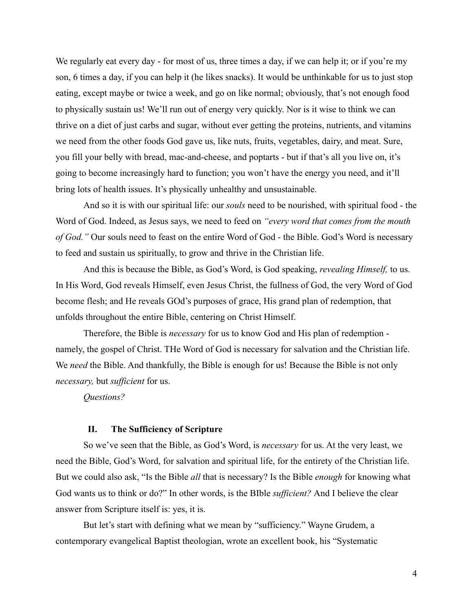We regularly eat every day - for most of us, three times a day, if we can help it; or if you're my son, 6 times a day, if you can help it (he likes snacks). It would be unthinkable for us to just stop eating, except maybe or twice a week, and go on like normal; obviously, that's not enough food to physically sustain us! We'll run out of energy very quickly. Nor is it wise to think we can thrive on a diet of just carbs and sugar, without ever getting the proteins, nutrients, and vitamins we need from the other foods God gave us, like nuts, fruits, vegetables, dairy, and meat. Sure, you fill your belly with bread, mac-and-cheese, and poptarts - but if that's all you live on, it's going to become increasingly hard to function; you won't have the energy you need, and it'll bring lots of health issues. It's physically unhealthy and unsustainable.

And so it is with our spiritual life: our *souls* need to be nourished, with spiritual food - the Word of God. Indeed, as Jesus says, we need to feed on *"every word that comes from the mouth of God."* Our souls need to feast on the entire Word of God - the Bible. God's Word is necessary to feed and sustain us spiritually, to grow and thrive in the Christian life.

And this is because the Bible, as God's Word, is God speaking, *revealing Himself,* to us. In His Word, God reveals Himself, even Jesus Christ, the fullness of God, the very Word of God become flesh; and He reveals GOd's purposes of grace, His grand plan of redemption, that unfolds throughout the entire Bible, centering on Christ Himself.

Therefore, the Bible is *necessary* for us to know God and His plan of redemption namely, the gospel of Christ. THe Word of God is necessary for salvation and the Christian life. We *need* the Bible. And thankfully, the Bible is enough for us! Because the Bible is not only *necessary,* but *sufficient* for us.

*Questions?*

#### **II. The Sufficiency of Scripture**

So we've seen that the Bible, as God's Word, is *necessary* for us. At the very least, we need the Bible, God's Word, for salvation and spiritual life, for the entirety of the Christian life. But we could also ask, "Is the Bible *all* that is necessary? Is the Bible *enough* for knowing what God wants us to think or do?" In other words, is the BIble *sufficient?* And I believe the clear answer from Scripture itself is: yes, it is.

But let's start with defining what we mean by "sufficiency." Wayne Grudem, a contemporary evangelical Baptist theologian, wrote an excellent book, his "Systematic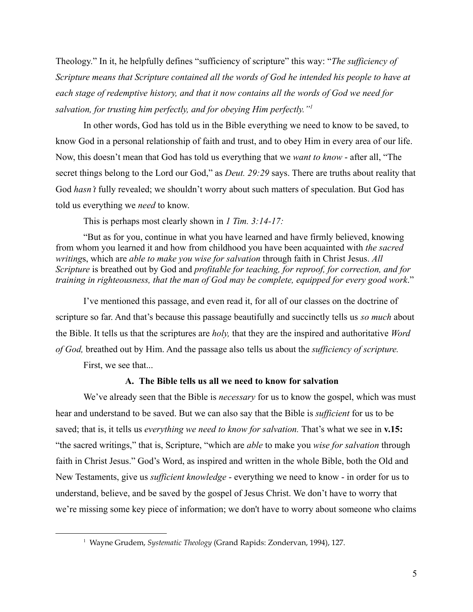Theology." In it, he helpfully defines "sufficiency of scripture" this way: "*The sufficiency of Scripture means that Scripture contained all the words of God he intended his people to have at each stage of redemptive history, and that it now contains all the words of God we need for salvation, for trusting him perfectly, and for obeying Him perfectly."<sup>1</sup>*

In other words, God has told us in the Bible everything we need to know to be saved, to know God in a personal relationship of faith and trust, and to obey Him in every area of our life. Now, this doesn't mean that God has told us everything that we *want to know* - after all, "The secret things belong to the Lord our God," as *Deut. 29:29* says. There are truths about reality that God *hasn't* fully revealed; we shouldn't worry about such matters of speculation. But God has told us everything we *need* to know.

This is perhaps most clearly shown in *1 Tim. 3:14-17:*

"But as for you, continue in what you have learned and have firmly believed, knowing from whom you learned it and how from childhood you have been acquainted with *the sacred writing*s, which are *able to make you wise for salvation* through faith in Christ Jesus. *All Scripture* is breathed out by God and *profitable for teaching, for reproof, for correction, and for training in righteousness, that the man of God may be complete, equipped for every good work*."

I've mentioned this passage, and even read it, for all of our classes on the doctrine of scripture so far. And that's because this passage beautifully and succinctly tells us *so much* about the Bible. It tells us that the scriptures are *holy,* that they are the inspired and authoritative *Word of God,* breathed out by Him. And the passage also tells us about the *sufficiency of scripture.*

First, we see that...

# **A. The Bible tells us all we need to know for salvation**

We've already seen that the Bible is *necessary* for us to know the gospel, which was must hear and understand to be saved. But we can also say that the Bible is *sufficient* for us to be saved; that is, it tells us *everything we need to know for salvation.* That's what we see in **v.15:** "the sacred writings," that is, Scripture, "which are *able* to make you *wise for salvation* through faith in Christ Jesus." God's Word, as inspired and written in the whole Bible, both the Old and New Testaments, give us *sufficient knowledge* - everything we need to know - in order for us to understand, believe, and be saved by the gospel of Jesus Christ. We don't have to worry that we're missing some key piece of information; we don't have to worry about someone who claims

<sup>1</sup> Wayne Grudem, *Systematic Theology* (Grand Rapids: Zondervan, 1994), 127.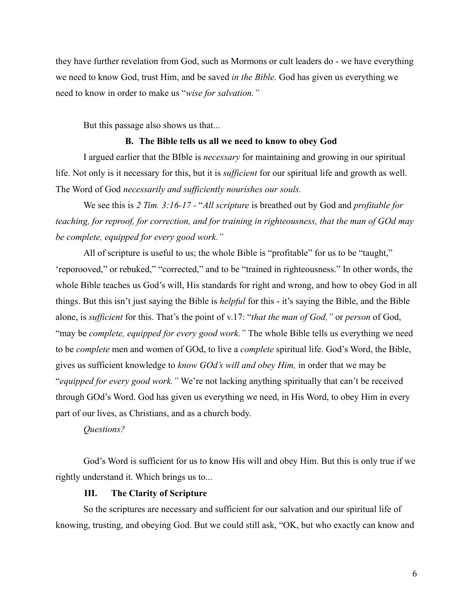they have further revelation from God, such as Mormons or cult leaders do - we have everything we need to know God, trust Him, and be saved *in the Bible.* God has given us everything we need to know in order to make us "*wise for salvation."*

But this passage also shows us that...

#### **B. The Bible tells us all we need to know to obey God**

I argued earlier that the BIble is *necessary* for maintaining and growing in our spiritual life. Not only is it necessary for this, but it is *sufficient* for our spiritual life and growth as well. The Word of God *necessarily and sufficiently nourishes our souls.*

We see this is *2 Tim. 3:16-17 -* "*All scripture* is breathed out by God and *profitable for teaching, for reproof, for correction, and for training in righteousness, that the man of GOd may be complete, equipped for every good work."*

All of scripture is useful to us; the whole Bible is "profitable" for us to be "taught," 'reporooved," or rebuked," "corrected," and to be "trained in righteousness." In other words, the whole Bible teaches us God's will, His standards for right and wrong, and how to obey God in all things. But this isn't just saying the Bible is *helpful* for this - it's saying the Bible, and the Bible alone, is *sufficient* for this. That's the point of v.17: "*that the man of God,"* or *person* of God, "may be *complete, equipped for every good work."* The whole Bible tells us everything we need to be *complete* men and women of GOd, to live a *complete* spiritual life. God's Word, the Bible, gives us sufficient knowledge to *know GOd's will and obey Him,* in order that we may be "*equipped for every good work."* We're not lacking anything spiritually that can't be received through GOd's Word. God has given us everything we need, in His Word, to obey Him in every part of our lives, as Christians, and as a church body.

# *Questions?*

God's Word is sufficient for us to know His will and obey Him. But this is only true if we rightly understand it. Which brings us to...

# **III. The Clarity of Scripture**

So the scriptures are necessary and sufficient for our salvation and our spiritual life of knowing, trusting, and obeying God. But we could still ask, "OK, but who exactly can know and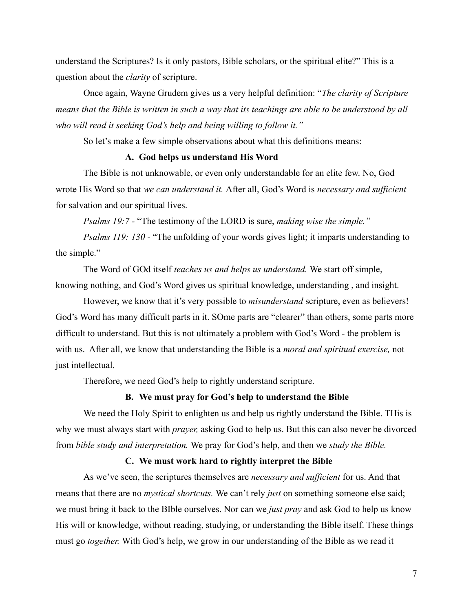understand the Scriptures? Is it only pastors, Bible scholars, or the spiritual elite?" This is a question about the *clarity* of scripture.

Once again, Wayne Grudem gives us a very helpful definition: "*The clarity of Scripture means that the Bible is written in such a way that its teachings are able to be understood by all who will read it seeking God's help and being willing to follow it."*

So let's make a few simple observations about what this definitions means:

# **A. God helps us understand His Word**

The Bible is not unknowable, or even only understandable for an elite few. No, God wrote His Word so that *we can understand it.* After all, God's Word is *necessary and sufficient* for salvation and our spiritual lives.

*Psalms 19:7 -* "The testimony of the LORD is sure, *making wise the simple."*

*Psalms 119: 130 -* "The unfolding of your words gives light; it imparts understanding to the simple."

The Word of GOd itself *teaches us and helps us understand.* We start off simple, knowing nothing, and God's Word gives us spiritual knowledge, understanding , and insight.

However, we know that it's very possible to *misunderstand* scripture, even as believers! God's Word has many difficult parts in it. SOme parts are "clearer" than others, some parts more difficult to understand. But this is not ultimately a problem with God's Word - the problem is with us. After all, we know that understanding the Bible is a *moral and spiritual exercise,* not just intellectual.

Therefore, we need God's help to rightly understand scripture.

# **B. We must pray for God's help to understand the Bible**

We need the Holy Spirit to enlighten us and help us rightly understand the Bible. This is why we must always start with *prayer,* asking God to help us. But this can also never be divorced from *bible study and interpretation.* We pray for God's help, and then we *study the Bible.*

#### **C. We must work hard to rightly interpret the Bible**

As we've seen, the scriptures themselves are *necessary and sufficient* for us. And that means that there are no *mystical shortcuts.* We can't rely *just* on something someone else said; we must bring it back to the BIble ourselves. Nor can we *just pray* and ask God to help us know His will or knowledge, without reading, studying, or understanding the Bible itself. These things must go *together.* With God's help, we grow in our understanding of the Bible as we read it